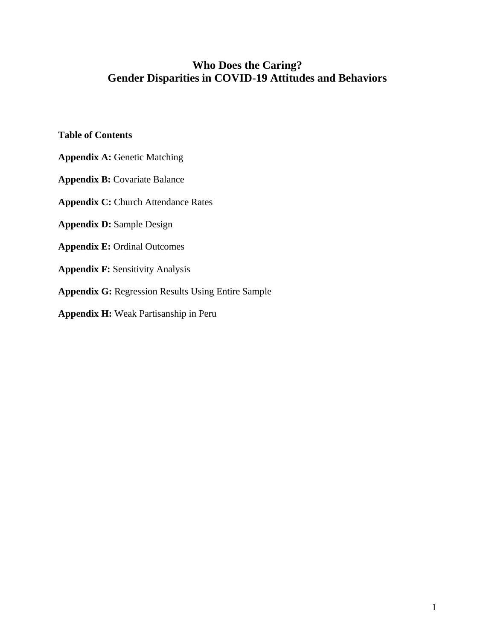# **Who Does the Caring? Gender Disparities in COVID-19 Attitudes and Behaviors**

# **Table of Contents**

- **Appendix A:** Genetic Matching
- **Appendix B:** Covariate Balance
- **Appendix C: Church Attendance Rates**
- **Appendix D:** Sample Design
- **Appendix E:** Ordinal Outcomes
- **Appendix F:** Sensitivity Analysis
- **Appendix G:** Regression Results Using Entire Sample
- **Appendix H:** Weak Partisanship in Peru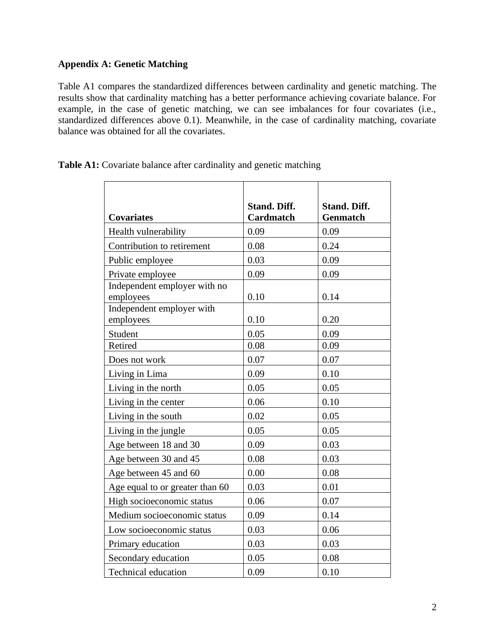# **Appendix A: Genetic Matching**

Table A1 compares the standardized differences between cardinality and genetic matching. The results show that cardinality matching has a better performance achieving covariate balance. For example, in the case of genetic matching, we can see imbalances for four covariates (i.e., standardized differences above 0.1). Meanwhile, in the case of cardinality matching, covariate balance was obtained for all the covariates.

| <b>Covariates</b>                         | <b>Stand. Diff.</b><br><b>Cardmatch</b> | <b>Stand. Diff.</b><br><b>Genmatch</b> |
|-------------------------------------------|-----------------------------------------|----------------------------------------|
| Health vulnerability                      | 0.09                                    | 0.09                                   |
| Contribution to retirement                | 0.08                                    | 0.24                                   |
| Public employee                           | 0.03                                    | 0.09                                   |
| Private employee                          | 0.09                                    | 0.09                                   |
| Independent employer with no<br>employees | 0.10                                    | 0.14                                   |
| Independent employer with<br>employees    | 0.10                                    | 0.20                                   |
| Student                                   | 0.05                                    | 0.09                                   |
| Retired                                   | 0.08                                    | 0.09                                   |
| Does not work                             | 0.07                                    | 0.07                                   |
| Living in Lima                            | 0.09                                    | 0.10                                   |
| Living in the north                       | 0.05                                    | 0.05                                   |
| Living in the center                      | 0.06                                    | 0.10                                   |
| Living in the south                       | 0.02                                    | 0.05                                   |
| Living in the jungle                      | 0.05                                    | 0.05                                   |
| Age between 18 and 30                     | 0.09                                    | 0.03                                   |
| Age between 30 and 45                     | 0.08                                    | 0.03                                   |
| Age between 45 and 60                     | 0.00                                    | 0.08                                   |
| Age equal to or greater than 60           | 0.03                                    | 0.01                                   |
| High socioeconomic status                 | 0.06                                    | 0.07                                   |
| Medium socioeconomic status               | 0.09                                    | 0.14                                   |
| Low socioeconomic status                  | 0.03                                    | 0.06                                   |
| Primary education                         | 0.03                                    | 0.03                                   |
| Secondary education                       | 0.05                                    | 0.08                                   |
| <b>Technical education</b>                | 0.09                                    | 0.10                                   |

Table A1: Covariate balance after cardinality and genetic matching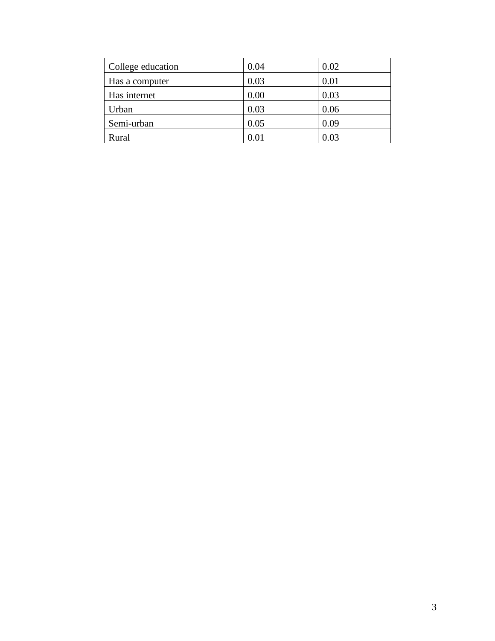| College education | 0.04       | 0.02 |
|-------------------|------------|------|
| Has a computer    | 0.03       | 0.01 |
| Has internet      | 0.00       | 0.03 |
| Urban             | 0.03       | 0.06 |
| Semi-urban        | 0.05       | 0.09 |
| Rural             | $\rm 0.01$ | 0.03 |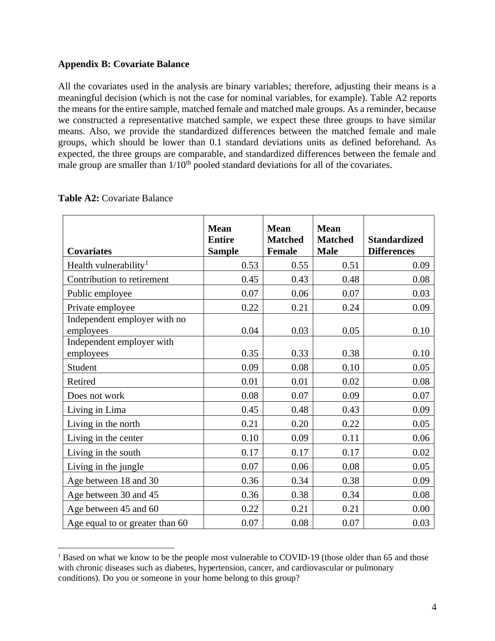### **Appendix B: Covariate Balance**

All the covariates used in the analysis are binary variables; therefore, adjusting their means is a meaningful decision (which is not the case for nominal variables, for example). Table A2 reports the means for the entire sample, matched female and matched male groups. As a reminder, because we constructed a representative matched sample, we expect these three groups to have similar means. Also, we provide the standardized differences between the matched female and male groups, which should be lower than 0.1 standard deviations units as defined beforehand. As expected, the three groups are comparable, and standardized differences between the female and male group are smaller than  $1/10<sup>th</sup>$  pooled standard deviations for all of the covariates.

| <b>Covariates</b>                         | <b>Mean</b><br><b>Entire</b><br><b>Sample</b> | <b>Mean</b><br><b>Matched</b><br><b>Female</b> | <b>Mean</b><br><b>Matched</b><br><b>Male</b> | <b>Standardized</b><br><b>Differences</b> |
|-------------------------------------------|-----------------------------------------------|------------------------------------------------|----------------------------------------------|-------------------------------------------|
| Health vulnerability <sup>1</sup>         | 0.53                                          | 0.55                                           | 0.51                                         | 0.09                                      |
| Contribution to retirement                | 0.45                                          | 0.43                                           | 0.48                                         | 0.08                                      |
| Public employee                           | 0.07                                          | 0.06                                           | 0.07                                         | 0.03                                      |
| Private employee                          | 0.22                                          | 0.21                                           | 0.24                                         | 0.09                                      |
| Independent employer with no<br>employees | 0.04                                          | 0.03                                           | 0.05                                         | 0.10                                      |
| Independent employer with<br>employees    | 0.35                                          | 0.33                                           | 0.38                                         | 0.10                                      |
| Student                                   | 0.09                                          | 0.08                                           | 0.10                                         | 0.05                                      |
| Retired                                   | 0.01                                          | 0.01                                           | 0.02                                         | 0.08                                      |
| Does not work                             | 0.08                                          | 0.07                                           | 0.09                                         | 0.07                                      |
| Living in Lima                            | 0.45                                          | 0.48                                           | 0.43                                         | 0.09                                      |
| Living in the north                       | 0.21                                          | 0.20                                           | 0.22                                         | 0.05                                      |
| Living in the center                      | 0.10                                          | 0.09                                           | 0.11                                         | 0.06                                      |
| Living in the south                       | 0.17                                          | 0.17                                           | 0.17                                         | 0.02                                      |
| Living in the jungle                      | 0.07                                          | 0.06                                           | 0.08                                         | 0.05                                      |
| Age between 18 and 30                     | 0.36                                          | 0.34                                           | 0.38                                         | 0.09                                      |
| Age between 30 and 45                     | 0.36                                          | 0.38                                           | 0.34                                         | 0.08                                      |
| Age between 45 and 60                     | 0.22                                          | 0.21                                           | 0.21                                         | 0.00                                      |
| Age equal to or greater than 60           | 0.07                                          | 0.08                                           | 0.07                                         | 0.03                                      |

### **Table A2:** Covariate Balance

<sup>&</sup>lt;sup>1</sup> Based on what we know to be the people most vulnerable to COVID-19 (those older than 65 and those with chronic diseases such as diabetes, hypertension, cancer, and cardiovascular or pulmonary conditions). Do you or someone in your home belong to this group?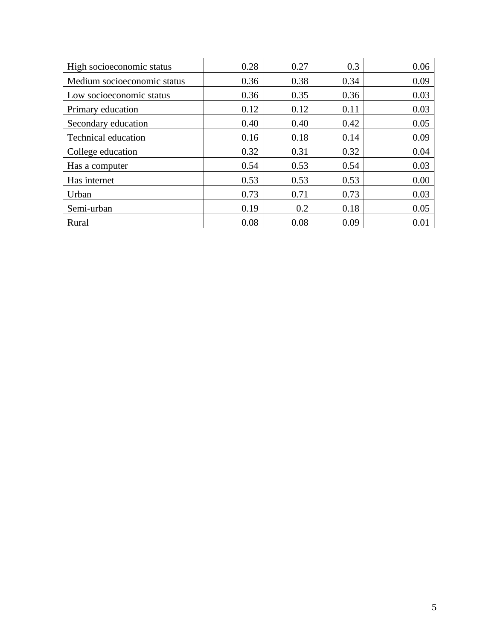| High socioeconomic status   | 0.28 | 0.27 | 0.3  | 0.06 |
|-----------------------------|------|------|------|------|
| Medium socioeconomic status | 0.36 | 0.38 | 0.34 | 0.09 |
| Low socioeconomic status    | 0.36 | 0.35 | 0.36 | 0.03 |
| Primary education           | 0.12 | 0.12 | 0.11 | 0.03 |
| Secondary education         | 0.40 | 0.40 | 0.42 | 0.05 |
| <b>Technical education</b>  | 0.16 | 0.18 | 0.14 | 0.09 |
| College education           | 0.32 | 0.31 | 0.32 | 0.04 |
| Has a computer              | 0.54 | 0.53 | 0.54 | 0.03 |
| Has internet                | 0.53 | 0.53 | 0.53 | 0.00 |
| Urban                       | 0.73 | 0.71 | 0.73 | 0.03 |
| Semi-urban                  | 0.19 | 0.2  | 0.18 | 0.05 |
| Rural                       | 0.08 | 0.08 | 0.09 | 0.01 |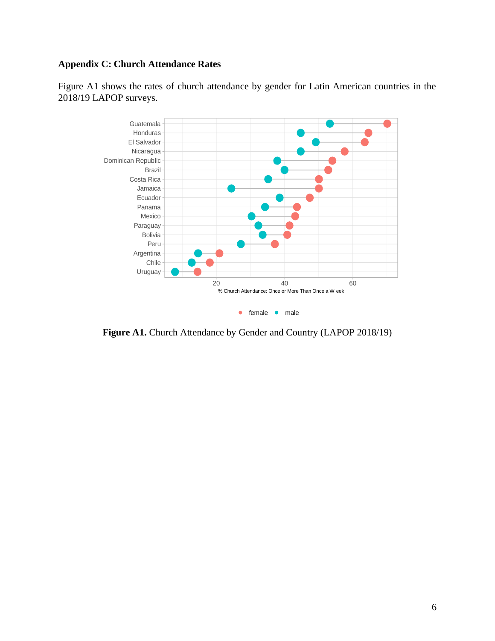# **Appendix C: Church Attendance Rates**

Figure A1 shows the rates of church attendance by gender for Latin American countries in the 2018/19 LAPOP surveys.



Figure A1. Church Attendance by Gender and Country (LAPOP 2018/19)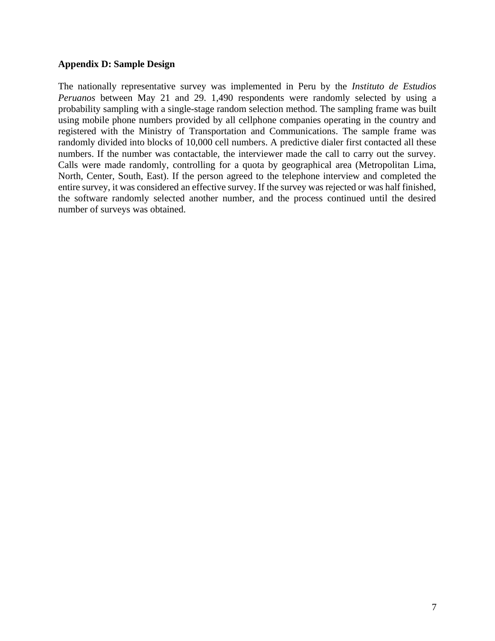### **Appendix D: Sample Design**

The nationally representative survey was implemented in Peru by the *Instituto de Estudios Peruanos* between May 21 and 29. 1,490 respondents were randomly selected by using a probability sampling with a single-stage random selection method. The sampling frame was built using mobile phone numbers provided by all cellphone companies operating in the country and registered with the Ministry of Transportation and Communications. The sample frame was randomly divided into blocks of 10,000 cell numbers. A predictive dialer first contacted all these numbers. If the number was contactable, the interviewer made the call to carry out the survey. Calls were made randomly, controlling for a quota by geographical area (Metropolitan Lima, North, Center, South, East). If the person agreed to the telephone interview and completed the entire survey, it was considered an effective survey. If the survey was rejected or was half finished, the software randomly selected another number, and the process continued until the desired number of surveys was obtained.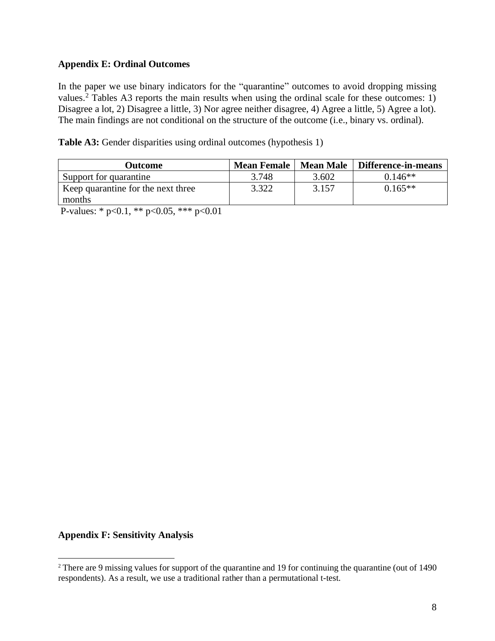### **Appendix E: Ordinal Outcomes**

In the paper we use binary indicators for the "quarantine" outcomes to avoid dropping missing values.<sup>2</sup> Tables A3 reports the main results when using the ordinal scale for these outcomes: 1) Disagree a lot, 2) Disagree a little, 3) Nor agree neither disagree, 4) Agree a little, 5) Agree a lot). The main findings are not conditional on the structure of the outcome (i.e., binary vs. ordinal).

| Table A3: Gender disparities using ordinal outcomes (hypothesis 1) |  |  |  |  |  |  |  |
|--------------------------------------------------------------------|--|--|--|--|--|--|--|
|--------------------------------------------------------------------|--|--|--|--|--|--|--|

| Outcome                            | <b>Mean Female</b> | <b>Mean Male</b> | Difference-in-means |
|------------------------------------|--------------------|------------------|---------------------|
| Support for quarantine             | 3.748              | 3.602            | $0.146**$           |
| Keep quarantine for the next three | 3.322              | 3.157            | $0.165**$           |
| months                             |                    |                  |                     |

P-values: \* p<0.1, \*\* p<0.05, \*\*\* p<0.01

#### **Appendix F: Sensitivity Analysis**

<sup>2</sup> There are 9 missing values for support of the quarantine and 19 for continuing the quarantine (out of 1490 respondents). As a result, we use a traditional rather than a permutational t-test.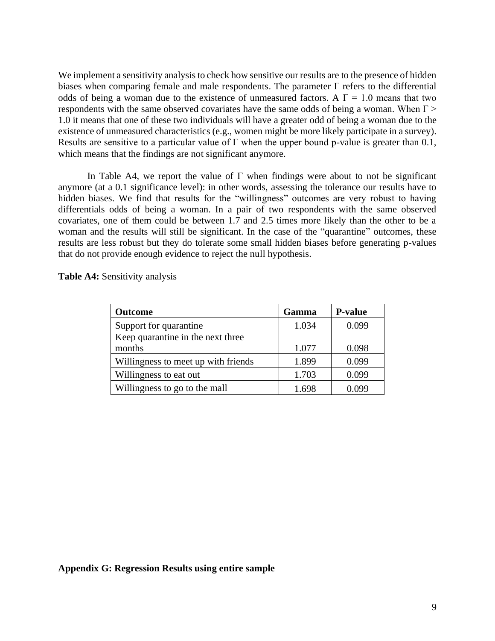We implement a sensitivity analysis to check how sensitive our results are to the presence of hidden biases when comparing female and male respondents. The parameter  $\Gamma$  refers to the differential odds of being a woman due to the existence of unmeasured factors. A  $\Gamma = 1.0$  means that two respondents with the same observed covariates have the same odds of being a woman. When  $\Gamma$  > 1.0 it means that one of these two individuals will have a greater odd of being a woman due to the existence of unmeasured characteristics (e.g., women might be more likely participate in a survey). Results are sensitive to a particular value of  $\Gamma$  when the upper bound p-value is greater than 0.1, which means that the findings are not significant anymore.

In Table A4, we report the value of  $\Gamma$  when findings were about to not be significant anymore (at a 0.1 significance level): in other words, assessing the tolerance our results have to hidden biases. We find that results for the "willingness" outcomes are very robust to having differentials odds of being a woman. In a pair of two respondents with the same observed covariates, one of them could be between 1.7 and 2.5 times more likely than the other to be a woman and the results will still be significant. In the case of the "quarantine" outcomes, these results are less robust but they do tolerate some small hidden biases before generating p-values that do not provide enough evidence to reject the null hypothesis.

| <b>Outcome</b>                      | Gamma | <b>P-value</b> |
|-------------------------------------|-------|----------------|
| Support for quarantine              | 1.034 | 0.099          |
| Keep quarantine in the next three   |       |                |
| months                              | 1.077 | 0.098          |
| Willingness to meet up with friends | 1.899 | 0.099          |
| Willingness to eat out              | 1.703 | 0.099          |
| Willingness to go to the mall       | 1.698 | () ()99        |

**Table A4:** Sensitivity analysis

#### **Appendix G: Regression Results using entire sample**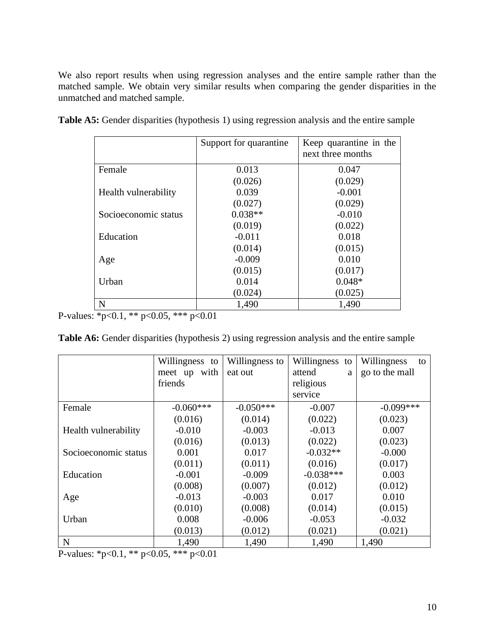We also report results when using regression analyses and the entire sample rather than the matched sample. We obtain very similar results when comparing the gender disparities in the unmatched and matched sample.

|                      | Support for quarantine | Keep quarantine in the<br>next three months |
|----------------------|------------------------|---------------------------------------------|
| Female               | 0.013                  | 0.047                                       |
|                      | (0.026)                | (0.029)                                     |
| Health vulnerability | 0.039                  | $-0.001$                                    |
|                      | (0.027)                | (0.029)                                     |
| Socioeconomic status | $0.038**$              | $-0.010$                                    |
|                      | (0.019)                | (0.022)                                     |
| Education            | $-0.011$               | 0.018                                       |
|                      | (0.014)                | (0.015)                                     |
| Age                  | $-0.009$               | 0.010                                       |
|                      | (0.015)                | (0.017)                                     |
| Urban                | 0.014                  | $0.048*$                                    |
|                      | (0.024)                | (0.025)                                     |
| N                    | 1,490                  | 1,490                                       |

Table A5: Gender disparities (hypothesis 1) using regression analysis and the entire sample

P-values: \*p<0.1, \*\* p<0.05, \*\*\* p<0.01

|                      | Willingness to | Willingness to | Willingness<br>to | Willingness<br>to |
|----------------------|----------------|----------------|-------------------|-------------------|
|                      | meet up with   | eat out        | attend<br>a       | go to the mall    |
|                      | friends        |                | religious         |                   |
|                      |                |                | service           |                   |
| Female               | $-0.060***$    | $-0.050***$    | $-0.007$          | $-0.099***$       |
|                      | (0.016)        | (0.014)        | (0.022)           | (0.023)           |
| Health vulnerability | $-0.010$       | $-0.003$       | $-0.013$          | 0.007             |
|                      | (0.016)        | (0.013)        | (0.022)           | (0.023)           |
| Socioeconomic status | 0.001          | 0.017          | $-0.032**$        | $-0.000$          |
|                      | (0.011)        | (0.011)        | (0.016)           | (0.017)           |
| Education            | $-0.001$       | $-0.009$       | $-0.038***$       | 0.003             |
|                      | (0.008)        | (0.007)        | (0.012)           | (0.012)           |
| Age                  | $-0.013$       | $-0.003$       | 0.017             | 0.010             |
|                      | (0.010)        | (0.008)        | (0.014)           | (0.015)           |
| Urban                | 0.008          | $-0.006$       | $-0.053$          | $-0.032$          |
|                      | (0.013)        | (0.012)        | (0.021)           | (0.021)           |
| $\mathbf N$          | 1,490          | 1,490          | 1,490             | 1,490             |

P-values: \*p<0.1, \*\* p<0.05, \*\*\* p<0.01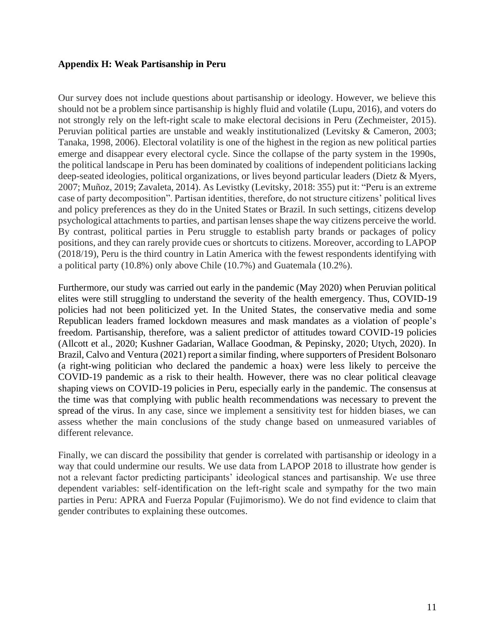### **Appendix H: Weak Partisanship in Peru**

Our survey does not include questions about partisanship or ideology. However, we believe this should not be a problem since partisanship is highly fluid and volatile (Lupu, 2016), and voters do not strongly rely on the left-right scale to make electoral decisions in Peru (Zechmeister, 2015). Peruvian political parties are unstable and weakly institutionalized (Levitsky & Cameron, 2003; Tanaka, 1998, 2006). Electoral volatility is one of the highest in the region as new political parties emerge and disappear every electoral cycle. Since the collapse of the party system in the 1990s, the political landscape in Peru has been dominated by coalitions of independent politicians lacking deep-seated ideologies, political organizations, or lives beyond particular leaders (Dietz & Myers, 2007; Muñoz, 2019; Zavaleta, 2014). As Levistky (Levitsky, 2018: 355) put it: "Peru is an extreme case of party decomposition". Partisan identities, therefore, do not structure citizens' political lives and policy preferences as they do in the United States or Brazil. In such settings, citizens develop psychological attachments to parties, and partisan lenses shape the way citizens perceive the world. By contrast, political parties in Peru struggle to establish party brands or packages of policy positions, and they can rarely provide cues or shortcuts to citizens. Moreover, according to LAPOP (2018/19), Peru is the third country in Latin America with the fewest respondents identifying with a political party (10.8%) only above Chile (10.7%) and Guatemala (10.2%).

Furthermore, our study was carried out early in the pandemic (May 2020) when Peruvian political elites were still struggling to understand the severity of the health emergency. Thus, COVID-19 policies had not been politicized yet. In the United States, the conservative media and some Republican leaders framed lockdown measures and mask mandates as a violation of people's freedom. Partisanship, therefore, was a salient predictor of attitudes toward COVID-19 policies (Allcott et al., 2020; Kushner Gadarian, Wallace Goodman, & Pepinsky, 2020; Utych, 2020). In Brazil, Calvo and Ventura (2021) report a similar finding, where supporters of President Bolsonaro (a right-wing politician who declared the pandemic a hoax) were less likely to perceive the COVID-19 pandemic as a risk to their health. However, there was no clear political cleavage shaping views on COVID-19 policies in Peru, especially early in the pandemic. The consensus at the time was that complying with public health recommendations was necessary to prevent the spread of the virus. In any case, since we implement a sensitivity test for hidden biases, we can assess whether the main conclusions of the study change based on unmeasured variables of different relevance.

Finally, we can discard the possibility that gender is correlated with partisanship or ideology in a way that could undermine our results. We use data from LAPOP 2018 to illustrate how gender is not a relevant factor predicting participants' ideological stances and partisanship. We use three dependent variables: self-identification on the left-right scale and sympathy for the two main parties in Peru: APRA and Fuerza Popular (Fujimorismo). We do not find evidence to claim that gender contributes to explaining these outcomes.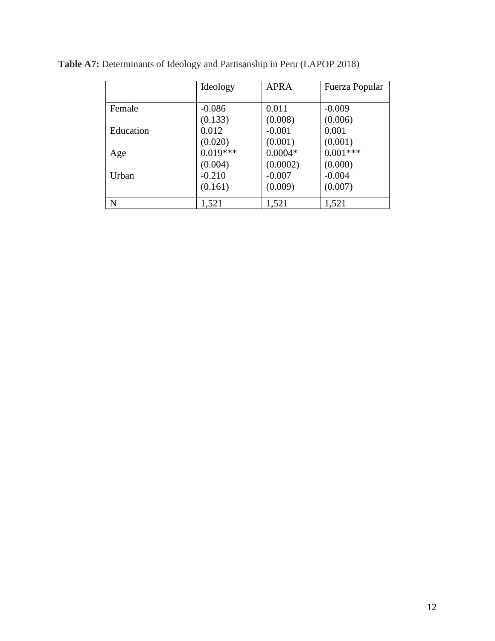|             | Ideology   | <b>APRA</b> | Fuerza Popular |
|-------------|------------|-------------|----------------|
|             |            |             |                |
| Female      | $-0.086$   | 0.011       | $-0.009$       |
|             | (0.133)    | (0.008)     | (0.006)        |
| Education   | 0.012      | $-0.001$    | 0.001          |
|             | (0.020)    | (0.001)     | (0.001)        |
| Age         | $0.019***$ | $0.0004*$   | $0.001***$     |
|             | (0.004)    | (0.0002)    | (0.000)        |
| Urban       | $-0.210$   | $-0.007$    | $-0.004$       |
|             | (0.161)    | (0.009)     | (0.007)        |
| $\mathbf N$ | 1,521      | 1,521       | 1,521          |

**Table A7:** Determinants of Ideology and Partisanship in Peru (LAPOP 2018)